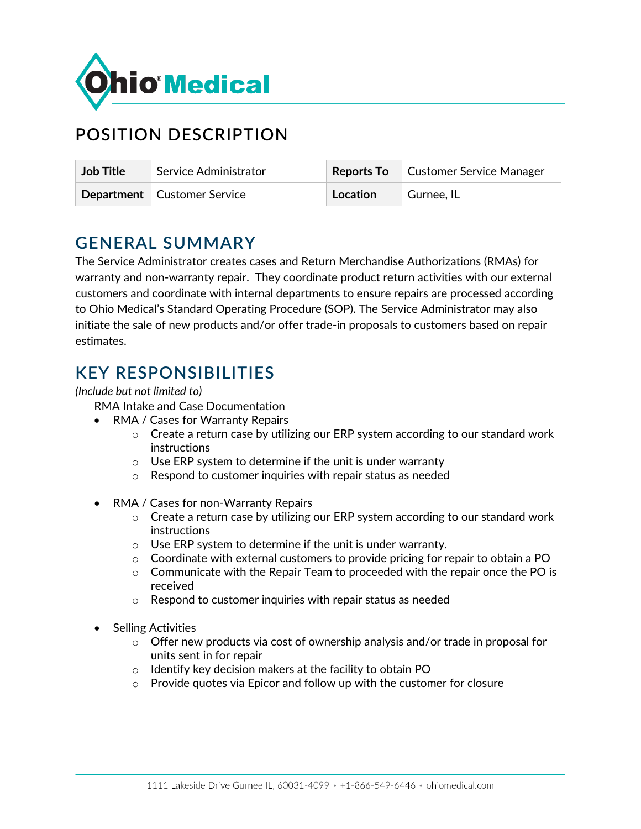

# **POSITION DESCRIPTION**

| <b>Job Title</b> | Service Administrator         |          | Reports To Customer Service Manager |
|------------------|-------------------------------|----------|-------------------------------------|
|                  | Department   Customer Service | Location | <sup>1</sup> Gurnee, IL             |

### **GENERAL SUMMARY**

The Service Administrator creates cases and Return Merchandise Authorizations (RMAs) for warranty and non-warranty repair. They coordinate product return activities with our external customers and coordinate with internal departments to ensure repairs are processed according to Ohio Medical's Standard Operating Procedure (SOP). The Service Administrator may also initiate the sale of new products and/or offer trade-in proposals to customers based on repair estimates.

### **KEY RESPONSIBILITIES**

### *(Include but not limited to)*

RMA Intake and Case Documentation

- RMA / Cases for Warranty Repairs
	- $\circ$  Create a return case by utilizing our ERP system according to our standard work instructions
	- $\circ$  Use ERP system to determine if the unit is under warranty
	- o Respond to customer inquiries with repair status as needed
- RMA / Cases for non-Warranty Repairs
	- $\circ$  Create a return case by utilizing our ERP system according to our standard work instructions
	- o Use ERP system to determine if the unit is under warranty.
	- $\circ$  Coordinate with external customers to provide pricing for repair to obtain a PO
	- $\circ$  Communicate with the Repair Team to proceeded with the repair once the PO is received
	- o Respond to customer inquiries with repair status as needed
- Selling Activities
	- $\circ$  Offer new products via cost of ownership analysis and/or trade in proposal for units sent in for repair
	- o Identify key decision makers at the facility to obtain PO
	- o Provide quotes via Epicor and follow up with the customer for closure